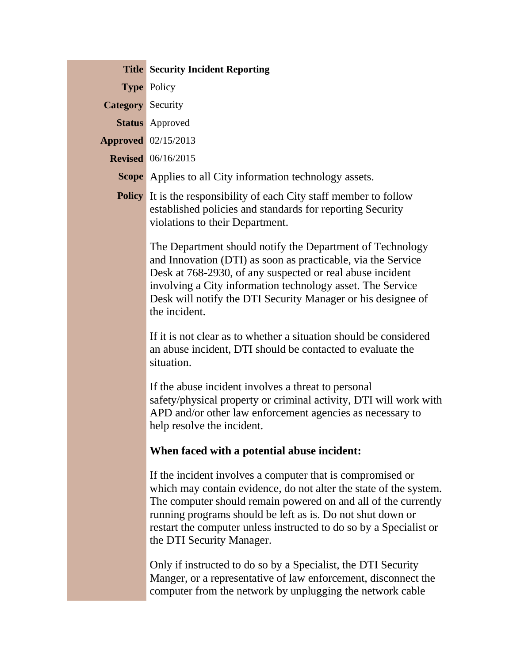|                          | <b>Title Security Incident Reporting</b>                                                                                                                                                                                                                                                                                                                           |
|--------------------------|--------------------------------------------------------------------------------------------------------------------------------------------------------------------------------------------------------------------------------------------------------------------------------------------------------------------------------------------------------------------|
|                          | <b>Type Policy</b>                                                                                                                                                                                                                                                                                                                                                 |
| <b>Category</b> Security |                                                                                                                                                                                                                                                                                                                                                                    |
|                          | <b>Status</b> Approved                                                                                                                                                                                                                                                                                                                                             |
|                          | <b>Approved</b> 02/15/2013                                                                                                                                                                                                                                                                                                                                         |
|                          | <b>Revised</b> 06/16/2015                                                                                                                                                                                                                                                                                                                                          |
|                          | <b>Scope</b> Applies to all City information technology assets.                                                                                                                                                                                                                                                                                                    |
|                          | <b>Policy</b> It is the responsibility of each City staff member to follow<br>established policies and standards for reporting Security<br>violations to their Department.                                                                                                                                                                                         |
|                          | The Department should notify the Department of Technology<br>and Innovation (DTI) as soon as practicable, via the Service<br>Desk at 768-2930, of any suspected or real abuse incident<br>involving a City information technology asset. The Service<br>Desk will notify the DTI Security Manager or his designee of<br>the incident.                              |
|                          | If it is not clear as to whether a situation should be considered<br>an abuse incident, DTI should be contacted to evaluate the<br>situation.                                                                                                                                                                                                                      |
|                          | If the abuse incident involves a threat to personal<br>safety/physical property or criminal activity, DTI will work with<br>APD and/or other law enforcement agencies as necessary to<br>help resolve the incident.                                                                                                                                                |
|                          | When faced with a potential abuse incident:                                                                                                                                                                                                                                                                                                                        |
|                          | If the incident involves a computer that is compromised or<br>which may contain evidence, do not alter the state of the system.<br>The computer should remain powered on and all of the currently<br>running programs should be left as is. Do not shut down or<br>restart the computer unless instructed to do so by a Specialist or<br>the DTI Security Manager. |
|                          | Only if instructed to do so by a Specialist, the DTI Security<br>Manger, or a representative of law enforcement, disconnect the<br>computer from the network by unplugging the network cable                                                                                                                                                                       |